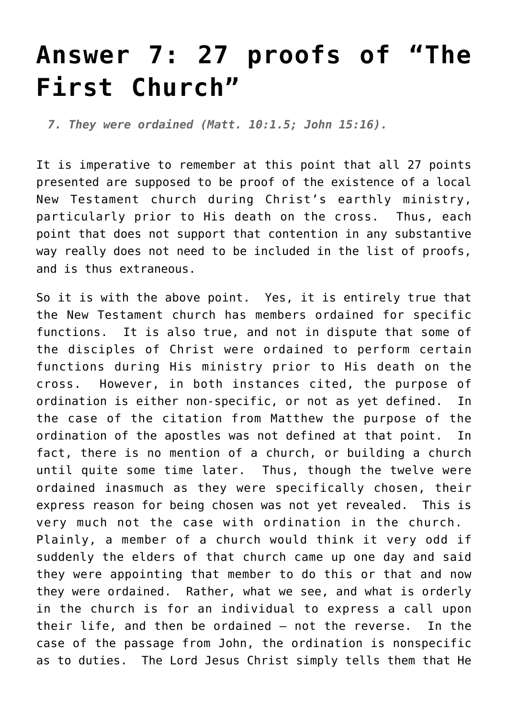## **[Answer 7: 27 proofs of "The](http://reproachofmen.org/the-church/s-e-andersons-the-first-church-27-proofs/answer-7-27-proofs-of-%e2%80%9cthe-first-church%e2%80%9d/) [First Church"](http://reproachofmen.org/the-church/s-e-andersons-the-first-church-27-proofs/answer-7-27-proofs-of-%e2%80%9cthe-first-church%e2%80%9d/)**

*7. They were ordained (Matt. 10:1.5; John 15:16).*

It is imperative to remember at this point that all 27 points presented are supposed to be proof of the existence of a local New Testament church during Christ's earthly ministry, particularly prior to His death on the cross. Thus, each point that does not support that contention in any substantive way really does not need to be included in the list of proofs, and is thus extraneous.

So it is with the above point. Yes, it is entirely true that the New Testament church has members ordained for specific functions. It is also true, and not in dispute that some of the disciples of Christ were ordained to perform certain functions during His ministry prior to His death on the cross. However, in both instances cited, the purpose of ordination is either non-specific, or not as yet defined. In the case of the citation from Matthew the purpose of the ordination of the apostles was not defined at that point. In fact, there is no mention of a church, or building a church until quite some time later. Thus, though the twelve were ordained inasmuch as they were specifically chosen, their express reason for being chosen was not yet revealed. This is very much not the case with ordination in the church. Plainly, a member of a church would think it very odd if suddenly the elders of that church came up one day and said they were appointing that member to do this or that and now they were ordained. Rather, what we see, and what is orderly in the church is for an individual to express a call upon their life, and then be ordained — not the reverse. In the case of the passage from John, the ordination is nonspecific as to duties. The Lord Jesus Christ simply tells them that He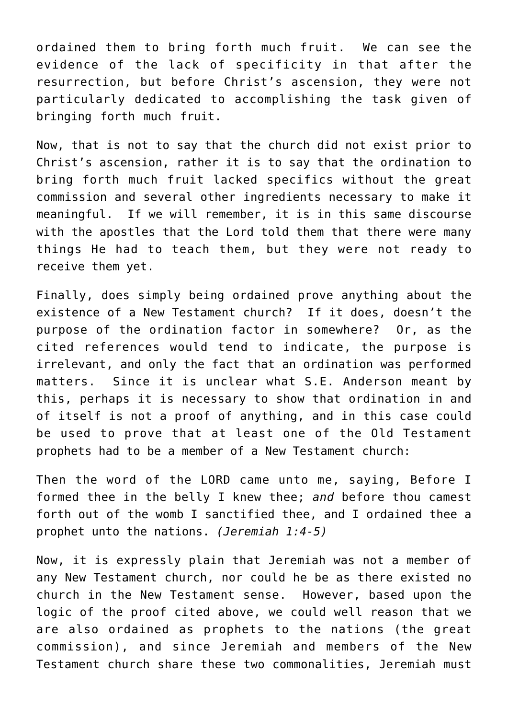ordained them to bring forth much fruit. We can see the evidence of the lack of specificity in that after the resurrection, but before Christ's ascension, they were not particularly dedicated to accomplishing the task given of bringing forth much fruit.

Now, that is not to say that the church did not exist prior to Christ's ascension, rather it is to say that the ordination to bring forth much fruit lacked specifics without the great commission and several other ingredients necessary to make it meaningful. If we will remember, it is in this same discourse with the apostles that the Lord told them that there were many things He had to teach them, but they were not ready to receive them yet.

Finally, does simply being ordained prove anything about the existence of a New Testament church? If it does, doesn't the purpose of the ordination factor in somewhere? Or, as the cited references would tend to indicate, the purpose is irrelevant, and only the fact that an ordination was performed matters. Since it is unclear what S.E. Anderson meant by this, perhaps it is necessary to show that ordination in and of itself is not a proof of anything, and in this case could be used to prove that at least one of the Old Testament prophets had to be a member of a New Testament church:

Then the word of the LORD came unto me, saying, Before I formed thee in the belly I knew thee; *and* before thou camest forth out of the womb I sanctified thee, and I ordained thee a prophet unto the nations. *(Jeremiah 1:4-5)*

Now, it is expressly plain that Jeremiah was not a member of any New Testament church, nor could he be as there existed no church in the New Testament sense. However, based upon the logic of the proof cited above, we could well reason that we are also ordained as prophets to the nations (the great commission), and since Jeremiah and members of the New Testament church share these two commonalities, Jeremiah must